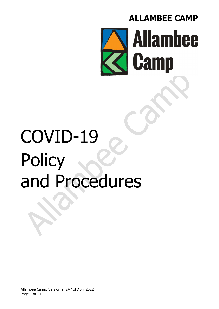

# COVID-19 **Policy** and Procedures

Allambee Camp, Version 9, 24<sup>th</sup> of April 2022 Page 1 of 21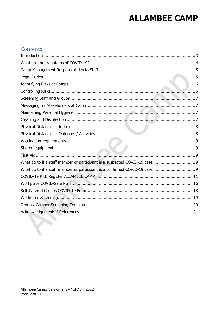#### Contents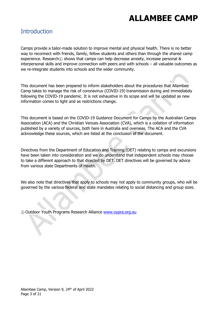#### **Introduction**

Camps provide a tailor-made solution to improve mental and physical health. There is no better way to reconnect with friends, family, fellow students and others than through the shared camp experience. Research<sub>(1)</sub> shows that camps can help decrease anxiety, increase personal & interpersonal skills and improve connection with peers and with schools – all valuable outcomes as we re-integrate students into schools and the wider community.

This document has been prepared to inform stakeholders about the procedures that Allambee Camp takes to manage the risk of coronavirus (COVID-19) transmission during and immediately following the COVID-19 pandemic. It is not exhaustive in its scope and will be updated as new information comes to light and as restrictions change.

This document is based on the COVID-19 Guidance Document for Camps by the Australian Camps Association (ACA) and the Christian Venues Association (CVA), which is a collation of information published by a variety of sources, both here in Australia and overseas. The ACA and the CVA acknowledge these sources, which are listed at the conclusion of the document.

Directives from the Department of Education and Training (DET) relating to camps and excursions have been taken into consideration and we do understand that independent schools may choose to take a different approach to that directed by DET. DET directives will be governed by advice from various state Departments of Health.

We also note that directives that apply to schools may not apply to community groups, who will be governed by the various federal and state mandates relating to social distancing and group sizes.

① Outdoor Youth Programs Research Alliance www.oypra.org.au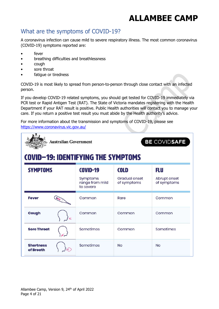#### What are the symptoms of COVID-19?

A coronavirus infection can cause mild to severe respiratory illness. The most common coronavirus (COVID-19) symptoms reported are:

- fever
- breathing difficulties and breathlessness
- cough
- sore throat
- fatique or tiredness

COVID-19 is most likely to spread from person-to-person through close contact with an infected person.

If you develop COVID-19 related symptoms, you should get tested for COVID-19 immediately via PCR test or Rapid Antigen Test (RAT). The State of Victoria mandates registering with the Health Department if your RAT result is positive. Public Health authorities will contact you to manage your care. If you return a positive test result you must abide by the Health authority's advice.

For more information about the transmission and symptoms of COVID-19, please see https://www.coronavirus.vic.gov.au/

| BE COVIDSAFE<br><b>Australian Government</b><br>COVID-19: IDENTIFYING THE SYMPTOMS |                                          |                              |                             |  |  |  |  |  |
|------------------------------------------------------------------------------------|------------------------------------------|------------------------------|-----------------------------|--|--|--|--|--|
| <b>SYMPTOMS</b>                                                                    | <b>COVID-19</b>                          | <b>COLD</b>                  | <b>FLU</b>                  |  |  |  |  |  |
|                                                                                    | Symptoms<br>range from mild<br>to severe | Gradual onset<br>of symptoms | Abrupt onset<br>of symptoms |  |  |  |  |  |
| <b>Fever</b>                                                                       | Common                                   | Rare                         | Common                      |  |  |  |  |  |
| Cough<br>⋹                                                                         | Common                                   | Common                       | Common                      |  |  |  |  |  |
| <b>Sore Throat</b>                                                                 | Sometimes                                | Common                       | Sometimes                   |  |  |  |  |  |
| <b>Shortness</b><br>of Breath                                                      | Sometimes                                | <b>No</b>                    | <b>No</b>                   |  |  |  |  |  |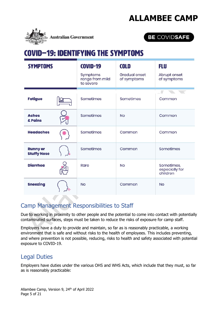

#### BE COVIDSAFE

### COVID-19: IDENTIFYING THE SYMPTOMS

| <b>SYMPTOMS</b>                       | <b>COVID-19</b><br>Symptoms<br>range from mild<br>to severe | <b>COLD</b><br><b>Gradual onset</b><br>of symptoms | <b>FLU</b><br>Abrupt onset<br>of symptoms |  |
|---------------------------------------|-------------------------------------------------------------|----------------------------------------------------|-------------------------------------------|--|
| <b>Fatigue</b>                        | Sometimes                                                   | Sometimes                                          | Common                                    |  |
| <b>Aches</b><br>& Pains               | Sometimes                                                   | <b>No</b>                                          | Common                                    |  |
| <b>Headaches</b>                      | Sometimes                                                   | Common                                             | Common                                    |  |
| <b>Runny or</b><br><b>Stuffy Nose</b> | Sometimes                                                   | Common                                             | Sometimes                                 |  |
| <b>Diarrhea</b>                       | Rare                                                        | <b>No</b>                                          | Sometimes,<br>especially for<br>children  |  |
| <b>Sneezing</b>                       | <b>No</b>                                                   | Common                                             | <b>No</b>                                 |  |

#### Camp Management Responsibilities to Staff

Due to working in proximity to other people and the potential to come into contact with potentially contaminated surfaces, steps must be taken to reduce the risks of exposure for camp staff.

Employers have a duty to provide and maintain, so far as is reasonably practicable, a working environment that is safe and without risks to the health of employees. This includes preventing, and where prevention is not possible, reducing, risks to health and safety associated with potential exposure to COVID-19.

#### Legal Duties

Employers have duties under the various OHS and WHS Acts, which include that they must, so far as is reasonably practicable: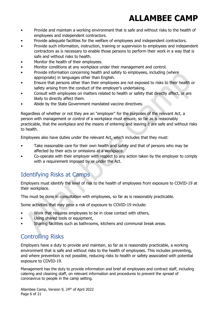- Provide and maintain a working environment that is safe and without risks to the health of employees and independent contractors.
- Provide adequate facilities for the welfare of employees and independent contractors.
- Provide such information, instruction, training or supervision to employees and independent contractors as is necessary to enable those persons to perform their work in a way that is safe and without risks to health.
- Monitor the health of their employees.
- Monitor conditions at any workplace under their management and control.
- Provide information concerning health and safety to employees, including (where appropriate) in languages other than English.
- Ensure that persons other than their employees are not exposed to risks to their health or safety arising from the conduct of the employer's undertaking.
- Consult with employees on matters related to health or safety that directly affect, or are likely to directly affect them.
- Abide by the State Government mandated vaccine directives.

Regardless of whether or not they are an "employer" for the purposes of the relevant Act, a person with management or control of a workplace must ensure, so far as is reasonably practicable, that the workplace and the means of entering and leaving it are safe and without risks to health.

Employees also have duties under the relevant Act, which includes that they must:

- Take reasonable care for their own health and safety and that of persons who may be affected by their acts or omissions at a workplace.
- Co-operate with their employer with respect to any action taken by the employer to comply with a requirement imposed by or under the Act.

#### Identifying Risks at Camps

Employers must identify the level of risk to the health of employees from exposure to COVID-19 at their workplace.

This must be done in consultation with employees, so far as is reasonably practicable.

Some activities that may pose a risk of exposure to COVID-19 include:

- Work that requires employees to be in close contact with others,
- Using shared tools or equipment,
- Sharing facilities such as bathrooms, kitchens and communal break areas.

#### Controlling Risks

Employers have a duty to provide and maintain, so far as is reasonably practicable, a working environment that is safe and without risks to the health of employees. This includes preventing, and where prevention is not possible, reducing risks to health or safety associated with potential exposure to COVID-19.

Management has the duty to provide information and brief all employees and contract staff, including catering and cleaning staff, on relevant information and procedures to prevent the spread of coronavirus to people in the camp setting.

Allambee Camp, Version 9, 24th of April 2022 Page 6 of 21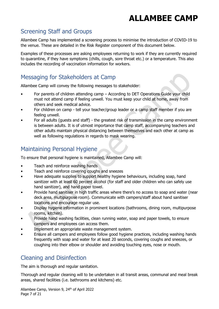#### Screening Staff and Groups

Allambee Camp has implemented a screening process to minimise the introduction of COVID-19 to the venue. These are detailed in the Risk Register component of this document below.

Examples of these processes are asking employees returning to work if they are currently required to quarantine, if they have symptoms (chills, cough, sore throat etc.) or a temperature. This also includes the recording of vaccination information for workers.

### Messaging for Stakeholders at Camp

Allambee Camp will convey the following messages to stakeholder:

- For parents of children attending camp According to DET Operations Guide your child must not attend camp if feeling unwell. You must keep your child at home, away from others and seek medical advice.
- For children on camp tell your teacher/group leader or a camp staff member if you are feeling unwell.
- For all adults (guests and staff) the greatest risk of transmission in the camp environment is between adults. It is of utmost importance that camp staff, accompanying teachers and other adults maintain physical distancing between themselves and each other at camp as well as following regulations in regards to mask wearing.

### Maintaining Personal Hygiene

To ensure that personal hygiene is maintained, Allambee Camp will:

- Teach and reinforce washing hands
- Teach and reinforce covering coughs and sneezes
- Have adequate supplies to support healthy hygiene behaviours, including soap, hand sanitizer with at least 60 percent alcohol (for staff and older children who can safely use hand sanitizer), and hand paper towel.
- Provide hand sanitiser in high traffic areas where there's no access to soap and water (near deck area, multipurpose room). Communicate with campers/staff about hand sanitiser locations and encourage regular use.
- Display hygiene information in prominent locations (bathrooms, dining room, multipurpose rooms, kitchen).
- Provide hand washing facilities, clean running water, soap and paper towels, to ensure campers and employees can access them.
- Implement an appropriate waste management system.
- Ensure all campers and employees follow good hygiene practices, including washing hands frequently with soap and water for at least 20 seconds, covering coughs and sneezes, or coughing into their elbow or shoulder and avoiding touching eyes, nose or mouth.

### Cleaning and Disinfection

The aim is thorough and regular sanitation.

Thorough and regular cleaning will to be undertaken in all transit areas, communal and meal break areas, shared facilities (i.e. bathrooms and kitchens) etc.

Allambee Camp, Version 9, 24<sup>th</sup> of April 2022 Page 7 of 21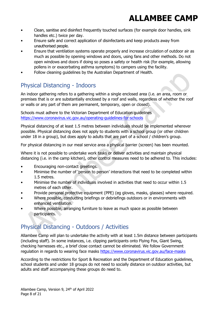- Clean, sanitise and disinfect frequently touched surfaces (for example door handles, sink handles etc.) twice per day.
- Ensure safe and correct application of disinfectants and keep products away from unauthorised people.
- Ensure that ventilation systems operate properly and increase circulation of outdoor air as much as possible by opening windows and doors, using fans and other methods. Do not open windows and doors if doing so poses a safety or health risk (for example, allowing pollens in or exacerbating asthma symptoms) to campers using the facility.
- Follow cleaning guidelines by the Australian Department of Health.

### Physical Distancing - Indoors

An indoor gathering refers to a gathering within a single enclosed area (i.e. an area, room or premises that is or are substantially enclosed by a roof and walls, regardless of whether the roof or walls or any part of them are permanent, temporary, open or closed).

Schools must adhere to the Victorian Department of Education guidelines https://www.coronavirus.vic.gov.au/operating-guidelines-for-schools

Physical distancing of at least 1.5 metres between individuals should be implemented wherever possible. Physical distancing does not apply to students with a school group (or other children under 18 in a group), but does apply to adults that are part of a school / children's group.

For physical distancing in our meal service area a physical barrier (screen) has been mounted.

Where it is not possible to undertake work tasks or deliver activities and maintain physical distancing (i.e. in the camp kitchen), other control measures need to be adhered to. This includes:

- Encouraging non-contact greetings.
- Minimise the number of 'person to person' interactions that need to be completed within 1.5 metres.
- Minimise the number of individuals involved in activities that need to occur within 1.5 metres of each other.
- Provide personal protective equipment (PPE) (eg gloves, masks, glasses) where required.
- Where possible, conducting briefings or debriefings outdoors or in environments with enhanced ventilation.
- Where possible, arranging furniture to leave as much space as possible between participants.

### Physical Distancing - Outdoors / Activities

Allambee Camp will plan to undertake the activity with at least 1.5m distance between participants (including staff). In some instances, i.e. clipping participants onto Flying Fox, Giant Swing, checking harnesses etc., a brief close contact cannot be eliminated. We follow Government regulation in regards to wearing face masks https://www.coronavirus.vic.gov.au/face-masks

According to the restrictions for Sport & Recreation and the Department of Education guidelines, school students and under 18 groups do not need to socially distance on outdoor activities, but adults and staff accompanying these groups do need to.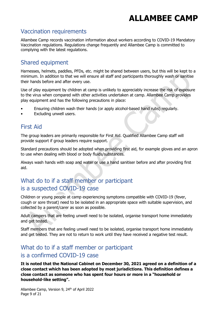#### Vaccination requirements

Allambee Camp records vaccination information about workers according to COVID-19 Mandatory Vaccination regulations. Regulations change frequently and Allambee Camp is committed to complying with the latest regulations.

#### Shared equipment

Harnesses, helmets, paddles, PFDs, etc. might be shared between users, but this will be kept to a minimum. In addition to that we will ensure all staff and participants thoroughly wash or sanitise their hands before and after every use.

Use of play equipment by children at camp is unlikely to appreciably increase the risk of exposure to the virus when compared with other activities undertaken at camp. Allambee Camp provides play equipment and has the following precautions in place:

- Ensuring children wash their hands (or apply alcohol-based hand rubs) regularly.
- Excluding unwell users.

#### First Aid

The group leaders are primarily responsible for First Aid. Qualified Allambee Camp staff will provide support if group leaders require support.

Standard precautions should be adopted when providing first aid, for example gloves and an apron to use when dealing with blood or body fluids/substances.

Always wash hands with soap and water or use a hand sanitiser before and after providing first aid.

#### What do to if a staff member or participant is a suspected COVID-19 case

Children or young people at camp experiencing symptoms compatible with COVID-19 (fever, cough or sore throat) need to be isolated in an appropriate space with suitable supervision, and collected by a parent/carer as soon as possible.

Adult campers that are feeling unwell need to be isolated, organise transport home immediately and get tested.

Staff members that are feeling unwell need to be isolated, organise transport home immediately and get tested. They are not to return to work until they have received a negative test result.

#### What do to if a staff member or participant is a confirmed COVID-19 case

It is noted that the National Cabinet on December 30, 2021 agreed on a definition of a close contact which has been adopted by most jurisdictions. This definition defines a close contact as someone who has spent four hours or more in a "household or household-like setting".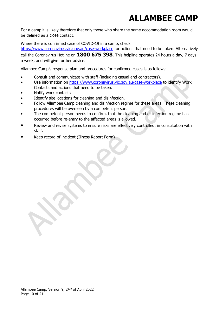For a camp it is likely therefore that only those who share the same accommodation room would be defined as a close contact.

Where there is confirmed case of COVID-19 in a camp, check

https://www.coronavirus.vic.gov.au/case-workplace for actions that need to be taken. Alternatively call the Coronavirus Hotline on  $1800 675 398$ . This helpline operates 24 hours a day, 7 days a week, and will give further advice.

Allambee Camp's response plan and procedures for confirmed cases is as follows:

- Consult and communicate with staff (including casual and contractors).
- Use information on https://www.coronavirus.vic.gov.au/case-workplace to identify Work Contacts and actions that need to be taken.
- Notify work contacts
- Identify site locations for cleaning and disinfection.
- Follow Allambee Camp cleaning and disinfection regime for these areas. These cleaning procedures will be overseen by a competent person.
- The competent person needs to confirm, that the cleaning and disinfection regime has occurred before re-entry to the affected areas is allowed.
- Review and revise systems to ensure risks are effectively controlled, in consultation with staff.
- Keep record of incident (Illness Report Form)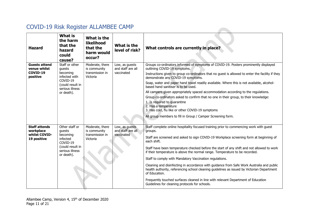### COVID-19 Risk Register ALLAMBEE CAMP

| <b>Hazard</b>                                                     | <b>What is</b><br>the harm<br>that the<br>hazard<br>could<br>cause?                                                    | What is the<br>likelihood<br>that the<br>harm would<br>occur?  | What is the<br>level of risk?                     | What controls are currently in place?                                                                                                                                                                                                                                                                                                                                                                                                                                                                                                                                                                                                                                                                                                                                                                |
|-------------------------------------------------------------------|------------------------------------------------------------------------------------------------------------------------|----------------------------------------------------------------|---------------------------------------------------|------------------------------------------------------------------------------------------------------------------------------------------------------------------------------------------------------------------------------------------------------------------------------------------------------------------------------------------------------------------------------------------------------------------------------------------------------------------------------------------------------------------------------------------------------------------------------------------------------------------------------------------------------------------------------------------------------------------------------------------------------------------------------------------------------|
| <b>Guests attend</b><br>venue whilst<br>COVID-19<br>positive      | Staff or other<br>quests<br>becoming<br>infected with<br>COVID-19<br>(could result in<br>serious illness<br>or death). | Moderate, there<br>is community<br>transmission in<br>Victoria | Low, as guests<br>and staff are all<br>vaccinated | Groups co-ordinators informed of symptoms of COVID-19. Posters prominently displayed<br>outlining COVID-19 symptoms.<br>Instructions given to group co-ordinators that no guest is allowed to enter the facility if they<br>demonstrate any COVID-19 symptoms.<br>Soap, water and paper hand towel readily available. Where this is not available, alcohol-<br>based hand sanitiser is to be used.<br>All campers given appropriately spaced accommodation according to the regulations.<br>Group co-ordinators asked to confirm that no one in their group, to their knowledge:<br>1. Is required to quarantine<br>2. Has a temperature<br>3. Has cold, flu like or other COVID-19 symptoms<br>All group members to fill in Group / Camper Screening form.                                          |
| <b>Staff attends</b><br>workplace<br>whilst COVID-<br>19 positive | Other staff or<br>guests<br>becoming<br>infected<br>COVID-19<br>(could result in<br>serious illness<br>or death).      | Moderate, there<br>is community<br>transmission in<br>Victoria | Low, as guests<br>and staff are all<br>vaccinated | Staff complete online hospitality focused training prior to commencing work with guest<br>groups.<br>Staff are screened and asked to sign COVID-19 Workplace screening form at beginning of<br>each shift.<br>Staff have been temperature checked before the start of any shift and not allowed to work<br>if their temperature is above the normal range. Temperature to be recorded.<br>Staff to comply with Mandatory Vaccination regulations.<br>Cleaning and disinfecting in accordance with guidance from Safe Work Australia and public<br>health authority, referencing school cleaning guidelines as issued by Victorian Department<br>of Education.<br>Frequently touched surfaces cleaned in line with relevant Department of Education<br>Guidelines for cleaning protocols for schools. |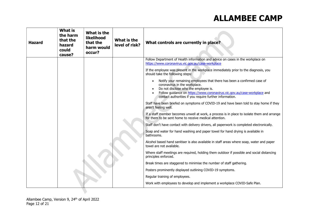| <b>Hazard</b> | <b>What is</b><br>the harm<br>that the<br>hazard<br>could<br>cause? | What is the<br>likelihood<br>that the<br>harm would<br>occur? | What is the<br>level of risk? | What controls are currently in place?                                                                                                                                                                                                                                                   |  |                                                                                                                       |
|---------------|---------------------------------------------------------------------|---------------------------------------------------------------|-------------------------------|-----------------------------------------------------------------------------------------------------------------------------------------------------------------------------------------------------------------------------------------------------------------------------------------|--|-----------------------------------------------------------------------------------------------------------------------|
|               |                                                                     |                                                               |                               | Follow Department of Health information and advice on cases in the workplace on<br>https://www.coronavirus.vic.gov.au/case-workplace                                                                                                                                                    |  |                                                                                                                       |
|               |                                                                     |                                                               |                               | If the employee was present in the workplace immediately prior to the diagnosis, you<br>should take the following steps:                                                                                                                                                                |  |                                                                                                                       |
|               |                                                                     |                                                               |                               | Notify your remaining employees that there has been a confirmed case of<br>coronavirus in the workplace.<br>Do not disclose who the employee is.<br>Follow guidance on https://www.coronavirus.vic.gov.au/case-workplace and<br>contact authorities if you require further information. |  |                                                                                                                       |
|               |                                                                     |                                                               |                               | Staff have been briefed on symptoms of COVID-19 and have been told to stay home if they<br>aren't feeling well.                                                                                                                                                                         |  |                                                                                                                       |
|               |                                                                     |                                                               |                               | If a staff member becomes unwell at work, a process is in place to isolate them and arrange<br>for them to be sent home to receive medical attention.                                                                                                                                   |  |                                                                                                                       |
|               |                                                                     |                                                               |                               | Staff don't have contact with delivery drivers, all paperwork is completed electronically.                                                                                                                                                                                              |  |                                                                                                                       |
|               |                                                                     |                                                               |                               |                                                                                                                                                                                                                                                                                         |  | Soap and water for hand washing and paper towel for hand drying is available in<br>bathrooms.                         |
|               |                                                                     |                                                               |                               |                                                                                                                                                                                                                                                                                         |  | Alcohol based hand sanitiser is also available in staff areas where soap, water and paper<br>towel are not available. |
|               |                                                                     |                                                               |                               | Where staff meetings are required, holding them outdoor if possible and social distancing<br>principles enforced.                                                                                                                                                                       |  |                                                                                                                       |
|               |                                                                     |                                                               |                               | Break times are staggered to minimise the number of staff gathering.                                                                                                                                                                                                                    |  |                                                                                                                       |
|               |                                                                     |                                                               |                               | Posters prominently displayed outlining COVID-19 symptoms.                                                                                                                                                                                                                              |  |                                                                                                                       |
|               |                                                                     |                                                               |                               | Regular training of employees.                                                                                                                                                                                                                                                          |  |                                                                                                                       |
|               |                                                                     |                                                               |                               | Work with employees to develop and implement a workplace COVID-Safe Plan.                                                                                                                                                                                                               |  |                                                                                                                       |
|               |                                                                     |                                                               |                               |                                                                                                                                                                                                                                                                                         |  |                                                                                                                       |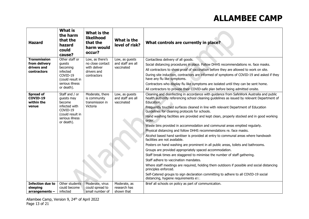| <b>Hazard</b>                              | <b>What is</b><br>the harm<br>that the<br>hazard<br>could<br>cause? | What is the<br>likelihood<br>that the<br>harm would<br>occur? | What is the<br>level of risk?                     | What controls are currently in place?                                                                                                                                                                 |  |  |  |  |  |
|--------------------------------------------|---------------------------------------------------------------------|---------------------------------------------------------------|---------------------------------------------------|-------------------------------------------------------------------------------------------------------------------------------------------------------------------------------------------------------|--|--|--|--|--|
| <b>Transmission</b>                        | Other staff or                                                      | Low, as there's                                               | Low, as guests                                    | Contactless delivery of all goods.                                                                                                                                                                    |  |  |  |  |  |
| from delivery<br>drivers and               | guests<br>becoming                                                  | no close contact<br>with deliver                              | and staff are all<br>vaccinated                   | Social distancing procedures in place. Follow DHHS recommendations re. face masks.                                                                                                                    |  |  |  |  |  |
| <b>contractors</b>                         | infected                                                            | drivers and                                                   |                                                   | All contractors to show proof of vaccination before they are allowed to work on site.                                                                                                                 |  |  |  |  |  |
|                                            | COVID-19<br>(could result in                                        | contractors                                                   |                                                   | During site induction, contractors are informed of symptoms of COVID-19 and asked if they<br>have any flu like symptoms.                                                                              |  |  |  |  |  |
|                                            | serious illness                                                     |                                                               |                                                   | Contractors who display flu like symptoms are isolated until they can be sent home.                                                                                                                   |  |  |  |  |  |
|                                            | or death).                                                          |                                                               |                                                   | All contractors to provide their COVID-safe plan before being admitted onsite.                                                                                                                        |  |  |  |  |  |
| <b>Spread of</b><br>COVID-19<br>within the | Staff and / or<br>guests may<br>become                              | Moderate, there<br>is community<br>transmission in            | Low, as quests<br>and staff are all<br>vaccinated | Cleaning and disinfecting in accordance with guidance from SafeWork Australia and public<br>health authority referencing school cleaning guidelines as issued by relevant Department of<br>Education. |  |  |  |  |  |
| venue                                      | infected with<br>COVID-19<br>(could result in                       | Victoria                                                      |                                                   | Frequently touched surfaces cleaned in line with relevant Department of Education<br>Guidelines for cleaning protocols for schools.                                                                   |  |  |  |  |  |
|                                            | serious illness<br>or death).                                       |                                                               |                                                   | Hand washing facilities are provided and kept clean, properly stocked and in good working<br>order.                                                                                                   |  |  |  |  |  |
|                                            |                                                                     |                                                               |                                                   | Waste bins provided in accommodation and communal areas emptied regularly.                                                                                                                            |  |  |  |  |  |
|                                            |                                                                     |                                                               |                                                   | Physical distancing and follow DHHS recommendations re. face masks.                                                                                                                                   |  |  |  |  |  |
|                                            |                                                                     |                                                               |                                                   | Alcohol based hand sanitiser is provided at entry to communal areas where handwash<br>facilities are not available.                                                                                   |  |  |  |  |  |
|                                            |                                                                     |                                                               |                                                   | Posters on hand washing are prominent in all public areas, toilets and bathrooms.                                                                                                                     |  |  |  |  |  |
|                                            |                                                                     |                                                               |                                                   | Groups are provided appropriately spaced accommodation.                                                                                                                                               |  |  |  |  |  |
|                                            |                                                                     |                                                               |                                                   | Staff break times are staggered to minimise the number of staff gathering.                                                                                                                            |  |  |  |  |  |
|                                            |                                                                     |                                                               |                                                   | Staff adhere to vaccination mandates.                                                                                                                                                                 |  |  |  |  |  |
|                                            |                                                                     |                                                               |                                                   | Where staff meetings are required, holding them outdoors if possible and social distancing<br>principles enforced.                                                                                    |  |  |  |  |  |
|                                            |                                                                     |                                                               |                                                   | Self-Catered groups to sign declaration committing to adhere to all COVID-19 social<br>distancing, hygiene requirements etc.                                                                          |  |  |  |  |  |
| <b>Infection due to</b>                    | Other students                                                      | Moderate, virus                                               | Moderate, as                                      | Brief all schools on policy as part of communication.                                                                                                                                                 |  |  |  |  |  |
| sleeping                                   | could become                                                        | could spread to                                               | research has                                      |                                                                                                                                                                                                       |  |  |  |  |  |
| $arrangements -$                           | infected                                                            | small number of                                               | shown that                                        |                                                                                                                                                                                                       |  |  |  |  |  |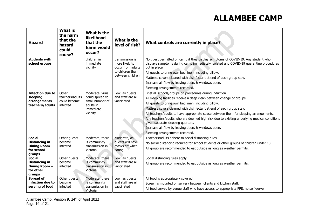| <b>Hazard</b>                                                                  | <b>What is</b><br>the harm<br>that the<br>hazard<br>could<br>cause? | What is the<br>likelihood<br>that the<br>harm would<br>occur?                               | What is the<br>level of risk?                                                                  | What controls are currently in place?                                                                                                                                                                                                                                                                                                                                                                                                                                                                                                                                                   |
|--------------------------------------------------------------------------------|---------------------------------------------------------------------|---------------------------------------------------------------------------------------------|------------------------------------------------------------------------------------------------|-----------------------------------------------------------------------------------------------------------------------------------------------------------------------------------------------------------------------------------------------------------------------------------------------------------------------------------------------------------------------------------------------------------------------------------------------------------------------------------------------------------------------------------------------------------------------------------------|
| students with<br>school groups                                                 |                                                                     | children in<br>immediate<br>vicinity                                                        | transmission is<br>more likely to<br>occur from adults<br>to children than<br>between children | No guest permitted on camp if they display symptoms of COVID-19. Any student who<br>displays symptoms during camp immediately isolated and COVID-19 quarantine procedures<br>put in place.<br>All guests to bring own bed linen, including pillow.<br>Mattress covers cleaned with disinfectant at end of each group stay.<br>Increase air flow by leaving doors & windows open.<br>Sleeping arrangements recorded.                                                                                                                                                                     |
| <b>Infection due to</b><br>sleeping<br>$arrangements -$<br>teachers/adults     | Other<br>teachers/adults<br>could become<br>infected                | Moderate, virus<br>could spread to<br>small number of<br>adults in<br>immediate<br>vicinity | Low, as guests<br>and staff are all<br>vaccinated                                              | Brief all schools/groups on procedures during induction.<br>All sleeping facilities receive a deep clean between change of groups.<br>All guests to bring own bed linen, including pillow.<br>Mattress covers cleaned with disinfectant at end of each group stay.<br>All teachers/adults to have appropriate space between them for sleeping arrangements.<br>Any teachers/adults who are deemed high risk due to existing underlying medical conditions<br>given separate sleeping quarters.<br>Increase air flow by leaving doors & windows open.<br>Sleeping arrangements recorded. |
| <b>Social</b><br><b>Distancing in</b><br>Dining Room -<br>for school<br>groups | Other quests<br>become<br>infected                                  | Moderate, there<br>is community<br>transmission in<br>Victoria                              | Moderate, as<br>quests will have<br>masks off when<br>eating                                   | Teachers/adults adhere to social distancing rules.<br>No social distancing required for school students or other groups of children under 18.<br>All group are recommended to eat outside as long as weather permits.                                                                                                                                                                                                                                                                                                                                                                   |
| <b>Social</b><br><b>Distancing in</b><br>Dining Room -<br>for other<br>groups  | Other quests<br>become<br>infected                                  | Moderate, there<br>is community<br>transmission in<br>Victoria                              | Low, as quests<br>and staff are all<br>vaccinated                                              | Social distancing rules apply.<br>All group are recommended to eat outside as long as weather permits.                                                                                                                                                                                                                                                                                                                                                                                                                                                                                  |
| <b>Spread of</b><br>infection due to<br>serving of food                        | Other quests<br>become<br>infected                                  | Moderate, there<br>is community<br>transmission in<br>Victoria                              | Low, as quests<br>and staff are all<br>vaccinated                                              | All food is appropriately covered.<br>Screen is mounted on servery between clients and kitchen staff.<br>All food served by venue staff who have access to appropriate PPE, no self-serve.                                                                                                                                                                                                                                                                                                                                                                                              |

Allambee Camp, Version 9, 24<sup>th</sup> of April 2022 Page 14 of 21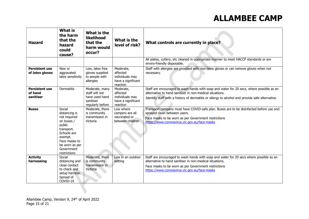| <b>Hazard</b>                                 | <b>What is</b><br>the harm<br>that the<br>hazard<br>could<br>cause?                                                                                                      | What is the<br>likelihood<br>that the<br>harm would<br>occur?                       | What is the<br>level of risk?                                              | What controls are currently in place?                                                                                                                                                                                                                        |  |  |
|-----------------------------------------------|--------------------------------------------------------------------------------------------------------------------------------------------------------------------------|-------------------------------------------------------------------------------------|----------------------------------------------------------------------------|--------------------------------------------------------------------------------------------------------------------------------------------------------------------------------------------------------------------------------------------------------------|--|--|
|                                               |                                                                                                                                                                          |                                                                                     |                                                                            | All plates, cutlery, etc cleaned in appropriate manner to meet HACCP standards or are<br>enviro-friendly disposable.                                                                                                                                         |  |  |
| <b>Persistent use</b><br>of latex gloves      | New or<br>aggravated<br>latex sensitivity                                                                                                                                | Low, latex free<br>gloves supplied<br>to people with<br>allergies                   | Moderate,<br>affected<br>individuals may<br>have a significant<br>reaction | Staff with allergies are provided with non-latex gloves or can remove gloves when not<br>necessary.                                                                                                                                                          |  |  |
| <b>Persistent use</b><br>of hand<br>sanitiser | Dermatitis                                                                                                                                                               | Moderate, many<br>staff will not<br>have used hand<br>sanitiser<br>regularly before | Moderate,<br>affected<br>individuals may<br>have a significant<br>reaction | Staff are encouraged to wash hands with soap and water for 20 secs, where possible as an<br>alternative to hand sanitiser in non-medical situations.<br>Identify staff with a history of dermatitis or allergy to alcohol and provide safe alternative.      |  |  |
| <b>Buses</b>                                  | Social<br>distancing is<br>not required<br>on buses /<br>public<br>transport.<br>Schools are<br>exempt.<br>Face masks to<br>be worn as per<br>Government<br>restrictions | Moderate, there<br>is community<br>transmission in<br>Victoria                      | Low where<br>campers are all<br>vaccinated or<br>between children          | Transport company must have COVID-safe plan. Buses are to be disinfected before use and<br>sprayed clean between users.<br>Face masks to be worn as per Government restrictions<br>https://www.coronavirus.vic.gov.au/face-masks                             |  |  |
| <b>Activity</b><br>harnessing                 | Social<br>distancing and<br>close contact<br>to check and<br>setup harness.<br>Spread of<br>COVID-19                                                                     | Moderate, there<br>is community<br>transmission in<br>Victoria                      | Low in an outdoor<br>setting                                               | Staff are encouraged to wash hands with soap and water for 20 secs where possible as an<br>alternative to hand sanitiser in non-medical situations.<br>Face masks to be worn as per Government restrictions<br>https://www.coronavirus.vic.gov.au/face-masks |  |  |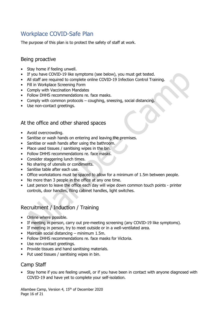### Workplace COVID-Safe Plan

The purpose of this plan is to protect the safety of staff at work.

#### Being proactive

- Stay home if feeling unwell.
- If you have COVID-19 like symptoms (see below), you must get tested.
- All staff are required to complete online COVID-19 Infection Control Training.
- Fill in Workplace Screening Form
- Comply with Vaccination Mandates
- Follow DHHS recommendations re. face masks.
- Comply with common protocols coughing, sneezing, social distancing.
- Use non-contact greetings.

#### At the office and other shared spaces

- Avoid overcrowding.
- Sanitise or wash hands on entering and leaving the premises.
- Sanitise or wash hands after using the bathroom.
- Place used tissues / sanitising wipes in the bin.
- Follow DHHS recommendations re. face masks.
- Consider staggering lunch times.
- No sharing of utensils or condiments.
- Sanitise table after each use.
- Office workstations must be spaced to allow for a minimum of 1.5m between people.
- No more than 3 people in the office at any one time.
- Last person to leave the office each day will wipe down common touch points printer controls, door handles, filing cabinet handles, light switches.

#### Recruitment / Induction / Training

- Online where possible.
- If meeting in person, carry out pre-meeting screening (any COVID-19 like symptoms).
- If meeting in person, try to meet outside or in a well-ventilated area.
- Maintain social distancing minimum 1.5m.
- Follow DHHS recommendations re. face masks for Victoria.
- Use non-contact greetings.
- Provide tissues and hand sanitising materials.
- Put used tissues / sanitising wipes in bin.

#### Camp Staff

• Stay home if you are feeling unwell, or if you have been in contact with anyone diagnosed with COVID-19 and have yet to complete your self-isolation.

Allambee Camp, Version 4, 15th of December 2020 Page 16 of 21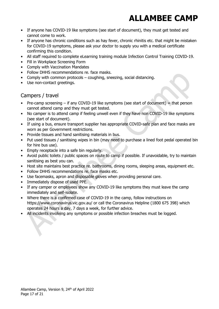- If anyone has COVID-19 like symptoms (see start of document), they must get tested and cannot come to work.
- If anyone has chronic conditions such as hay fever, chronic rhinitis etc. that might be mistaken for COVID-19 symptoms, please ask your doctor to supply you with a medical certificate confirming this condition.
- All staff required to complete eLearning training module Infection Control Training COVID-19.
- Fill in Workplace Screening Form
- Comply with Vaccination Mandates
- Follow DHHS recommendations re. face masks.
- Comply with common protocols coughing, sneezing, social distancing.
- Use non-contact greetings.

#### Campers / travel

- Pre-camp screening  $-$  if any COVID-19 like symptoms (see start of document) = that person cannot attend camp and they must get tested.
- No camper is to attend camp if feeling unwell even if they have non COVID-19 like symptoms (see start of document).
- If using a bus, ensure transport supplier has appropriate COVID-safe plan and face masks are worn as per Government restrictions.
- Provide tissues and hand sanitising materials in bus.
- Put used tissues / sanitising wipes in bin (may need to purchase a lined foot pedal operated bin for hire bus use).
- Empty receptacle into a safe bin regularly.
- Avoid public toilets / public spaces on route to camp if possible. If unavoidable, try to maintain sanitising as best you can.
- Host site maintains best practice re. bathrooms, dining rooms, sleeping areas, equipment etc.
- Follow DHHS recommendations re. face masks etc.
- Use facemasks, apron and disposable gloves when providing personal care.
- Immediately dispose of used PPE.
- If any camper or employees show any COVID-19 like symptoms they must leave the camp immediately and self-isolate.
- Where there is a confirmed case of COVID-19 in the camp, follow instructions on https://www.coronavirus.vic.gov.au/ or call the Coronavirus Helpline (1800 675 398) which operates 24 hours a day, 7 days a week, for further advice.
- All incidents involving any symptoms or possible infection breaches must be logged.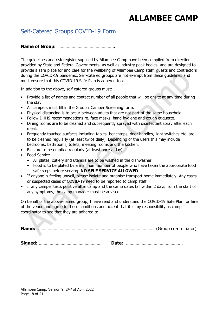### Self-Catered Groups COVID-19 Form

#### Name of Group: ………………………………………..

The guidelines and risk register supplied by Allambee Camp have been compiled from direction provided by State and Federal Governments, as well as industry peak bodies, and are designed to provide a safe place for and care for the wellbeing of Allambee Camp staff, guests and contractors during the COVID-19 pandemic. Self-catered groups are not exempt from these guidelines and must ensure that this COVID-19 Safe Plan is adhered too.

In addition to the above, self-catered groups must:

- Provide a list of names and contact number of all people that will be onsite at any time during the stay.
- All campers must fill in the Group / Camper Screening form.
- Physical distancing is to occur between adults that are not part of the same household.
- Follow DHHS recommendations re. face masks, hand hygiene and cough etiquette.
- Dining rooms are to be cleaned and subsequently sprayed with disinfectant spray after each meal.
- Frequently touched surfaces including tables, benchtops, door handles, light switches etc. are to be cleaned regularly (at least twice daily). Depending of the users this may include bedrooms, bathrooms, toilets, meeting rooms and the kitchen.
- Bins are to be emptied regularly (at least once a day).
- Food Service
	- All plates, cutlery and utensils are to be washed in the dishwasher.
	- Food is to be plated by a minimum number of people who have taken the appropriate food safe steps before serving. NO SELF SERVICE ALLOWED.
- If anyone is feeling unwell, please isolate and organise transport home immediately. Any cases or suspected cases of COVID-19 need to be reported to camp staff.
- If any camper tests positive after camp and the camp dates fall within 2 days from the start of any symptoms, the camp manager must be advised.

On behalf of the above-named group, I have read and understand the COVID-19 Safe Plan for hire of the venue and agree to these conditions and accept that it is my responsibility as camp coordinator to see that they are adhered to.

Name: ……………………………………………………………………………………. (Group co-ordinator)

Signed: ……………………………………………. Date: ………………………………………..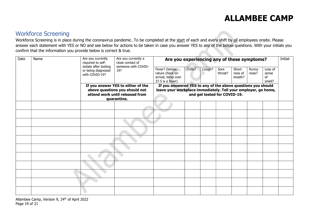#### Workforce Screening

Workforce Screening is in place during the coronavirus pandemic. To be completed at the start of each and every shift by all employees onsite. Please answer each statement with YES or NO and see below for actions to be taken in case you answer YES to any of the below questions. With your initials you confirm that the information you provide below is correct & true.

| Date | Name | Are you currently<br>required to self-                                                                                 | Are you currently a<br>close contact of<br>someone with COVID- | Are you experiencing any of these symptoms?                                                                                                                    |         |        |                 |                              |                |                                  | Initial |
|------|------|------------------------------------------------------------------------------------------------------------------------|----------------------------------------------------------------|----------------------------------------------------------------------------------------------------------------------------------------------------------------|---------|--------|-----------------|------------------------------|----------------|----------------------------------|---------|
|      |      | isolate after testing<br>or being diagnosed<br>with COVID-19?                                                          | 19?                                                            | Fever? (tempe-<br>rature check on<br>arrival, temp over<br>37.5 is a fever)                                                                                    | Chills? | Cough? | Sore<br>throat? | Short-<br>ness of<br>breath? | Runny<br>nose? | Loss of<br>sense<br>of<br>smell? |         |
|      |      | If you answer YES to either of the<br>above questions you should not<br>attend work until released from<br>quarantine. |                                                                | If you answered YES to any of the above questions you should<br>leave your workplace immediately. Tell your employer, go home,<br>and get tested for COVID-19. |         |        |                 |                              |                |                                  |         |
|      |      |                                                                                                                        |                                                                |                                                                                                                                                                |         |        |                 |                              |                |                                  |         |
|      |      |                                                                                                                        |                                                                |                                                                                                                                                                |         |        |                 |                              |                |                                  |         |
|      |      |                                                                                                                        |                                                                |                                                                                                                                                                |         |        |                 |                              |                |                                  |         |
|      |      |                                                                                                                        |                                                                |                                                                                                                                                                |         |        |                 |                              |                |                                  |         |
|      |      |                                                                                                                        |                                                                |                                                                                                                                                                |         |        |                 |                              |                |                                  |         |
|      |      |                                                                                                                        |                                                                |                                                                                                                                                                |         |        |                 |                              |                |                                  |         |
|      |      |                                                                                                                        |                                                                |                                                                                                                                                                |         |        |                 |                              |                |                                  |         |
|      |      |                                                                                                                        |                                                                |                                                                                                                                                                |         |        |                 |                              |                |                                  |         |
|      |      |                                                                                                                        |                                                                |                                                                                                                                                                |         |        |                 |                              |                |                                  |         |
|      |      |                                                                                                                        |                                                                |                                                                                                                                                                |         |        |                 |                              |                |                                  |         |
|      |      |                                                                                                                        |                                                                |                                                                                                                                                                |         |        |                 |                              |                |                                  |         |

Allambee Camp, Version 9, 24<sup>th</sup> of April 2022 Page 19 of 21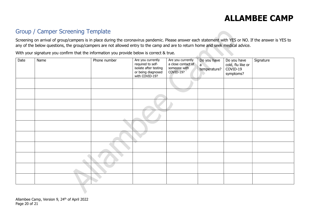### Group / Camper Screening Template

Screening on arrival of group/campers is in place during the coronavirus pandemic. Please answer each statement with YES or NO. If the answer is YES to any of the below questions, the group/campers are not allowed entry to the camp and are to return home and seek medical advice.

With your signature you confirm that the information you provide below is correct & true.

| Date | Name | Phone number | Are you currently<br>required to self-<br>isolate after testing<br>or being diagnosed<br>with COVID-19? | Are you currently<br>a close contact of<br>someone with<br>COVID-19? | Do you have<br>a<br>temperature? | Do you have<br>cold, flu like or<br>COVID-19<br>symptoms? | Signature |
|------|------|--------------|---------------------------------------------------------------------------------------------------------|----------------------------------------------------------------------|----------------------------------|-----------------------------------------------------------|-----------|
|      |      |              |                                                                                                         |                                                                      |                                  |                                                           |           |
|      |      |              |                                                                                                         |                                                                      |                                  |                                                           |           |
|      |      |              |                                                                                                         |                                                                      |                                  |                                                           |           |
|      |      |              |                                                                                                         |                                                                      |                                  |                                                           |           |
|      |      |              |                                                                                                         |                                                                      |                                  |                                                           |           |
|      |      |              |                                                                                                         |                                                                      |                                  |                                                           |           |
|      |      |              |                                                                                                         |                                                                      |                                  |                                                           |           |
|      |      |              |                                                                                                         |                                                                      |                                  |                                                           |           |
|      |      |              |                                                                                                         |                                                                      |                                  |                                                           |           |
|      |      |              |                                                                                                         |                                                                      |                                  |                                                           |           |